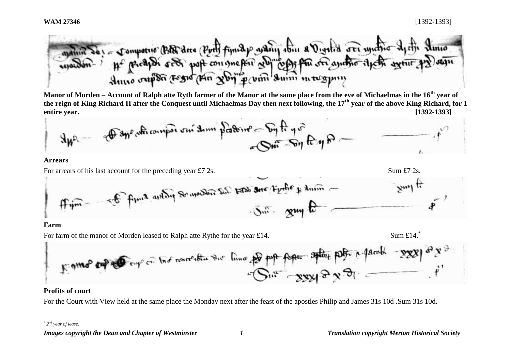**WAM 27346** [1392-1393]



**Manor of Morden – Account of Ralph atte Ryth farmer of the Manor at the same place from the eve of Michaelmas in the 16th year of the reign of King Richard II after the Conquest until Michaelmas Day then next following, the 17th year of the above King Richard, for 1 entire year. [1392-1393]**



#### **Arrears**

For arrears of his last account for the preceding year £7 2s. Sum £7 2s.



# **Farm**



For the Court with View held at the same place the Monday next after the feast of the apostles Philip and James 31s 10d .Sum 31s 10d.

l

*<sup>\*</sup> 2 nd year of lease.*

*Images copyright the Dean and Chapter of Westminster 1 Translation copyright Merton Historical Society*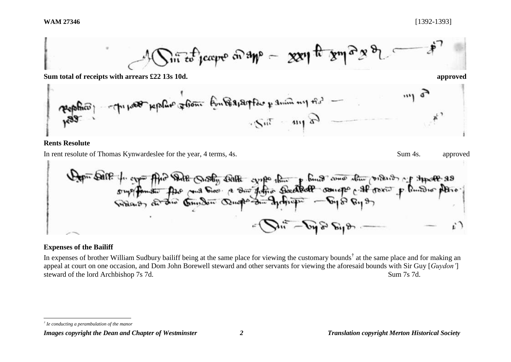

**Sum total of receipts with arrears £22 13s 10d. approved**



**Rents Resolute**

In rent resolute of Thomas Kynwardeslee for the year, 4 terms, 4s. Sum 4s. Sum 4s. approved

pri Delle for cypin Afric Delle Cristing Delle cypie that y lond avec the prider of the cypin of the<br>our four and the ground a strategy of the protect of the contract of the strategy of the strategy of the contract of the  $m - \rho n$   $\beta$   $\beta n$ 

### **Expenses of the Bailiff**

In expenses of brother William Sudbury bailiff being at the same place for viewing the customary bounds<sup>†</sup> at the same place and for making an appeal at court on one occasion, and Dom John Borewell steward and other servants for viewing the aforesaid bounds with Sir Guy [*Guydon'*] steward of the lord Archbishop 7s 7d. Sum 7s 7d.

l

*<sup>†</sup> Ie conducting a perambulation of the manor*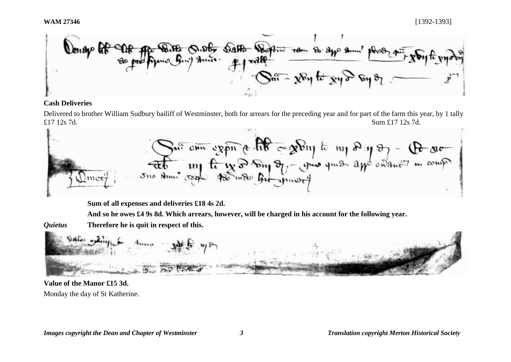the Dallo then El Sup

#### **Cash Deliveries**

Delivered to brother William Sudbury bailiff of Westminster, both for arrears for the preceding year and for part of the farm this year, by 1 tally £17 12s 7d. Sum £17 12s 7d.



**Sum of all expenses and deliveries £18 4s 2d.** 

**And so he owes £4 9s 8d. Which arrears, however, will be charged in his account for the following year.**

*Quietus* **Therefore he is quit in respect of this.**



**Value of the Manor £15 3d.** Monday the day of St Katherine.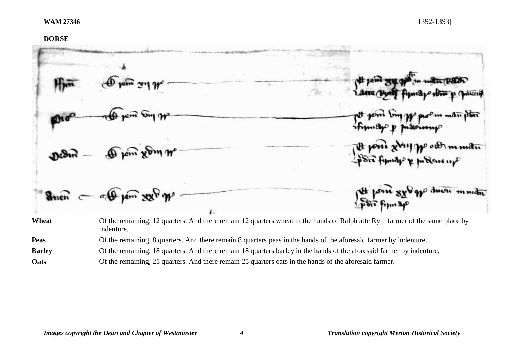# **DORSE**

|               |                                                                                                                                             | At paint 34 gas in meter (1885)  |
|---------------|---------------------------------------------------------------------------------------------------------------------------------------------|----------------------------------|
|               | $\frac{1}{2}$ with $\frac{1}{2}$                                                                                                            | Tet pom ting pp proam man plan   |
|               | Dedin - 1 pm xbm nº                                                                                                                         | the posses giving po out minutes |
|               | Sinen - aff pen xxP gp                                                                                                                      | At point sy opportment month     |
| Wheat         | Of the remaining, 12 quarters. And there remain 12 quarters wheat in the hands of Ralph atte Ryth farmer of the same place by<br>indenture. |                                  |
| <b>Peas</b>   | Of the remaining, 8 quarters. And there remain 8 quarters peas in the hands of the aforesaid farmer by indenture.                           |                                  |
| <b>Barley</b> | Of the remaining, 18 quarters. And there remain 18 quarters barley in the hands of the aforesaid farmer by indenture.                       |                                  |

**Oats** Of the remaining, 25 quarters. And there remain 25 quarters oats in the hands of the aforesaid farmer.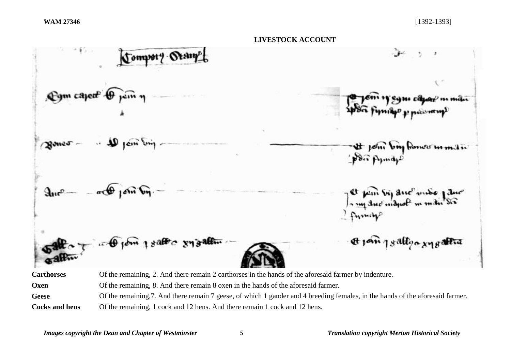### **WAM 27346** [1392-1393]



**Oxen** Of the remaining, 8. And there remain 8 oxen in the hands of the aforesaid farmer. Geese Of the remaining, 7. And there remain 7 geese, of which 1 gander and 4 breeding females, in the hands of the aforesaid farmer. **Cocks and hens** Of the remaining, 1 cock and 12 hens. And there remain 1 cock and 12 hens.

*Images copyright the Dean and Chapter of Westminster 5 Translation copyright Merton Historical Society*